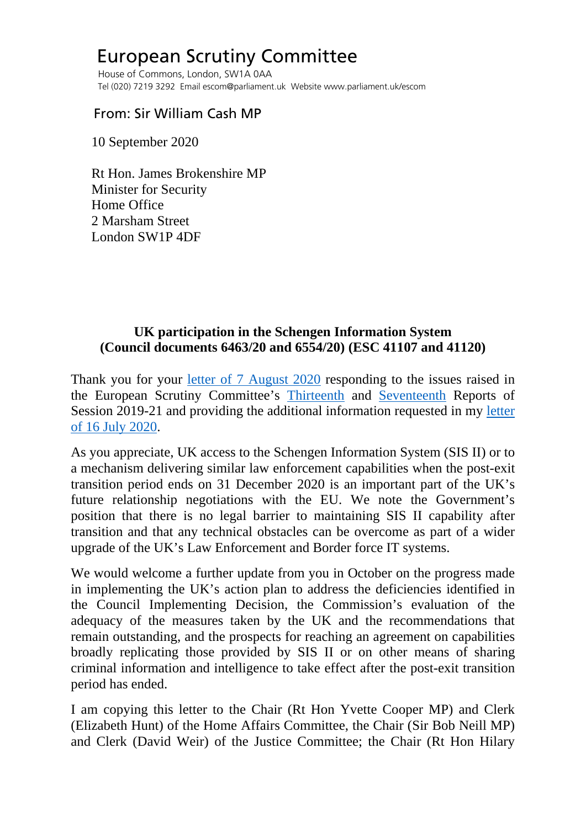## European Scrutiny Committee

 House of Commons, London, SW1A 0AA Tel (020) 7219 3292 Email escom@parliament.uk Website www.parliament.uk/escom

## From: Sir William Cash MP

10 September 2020

 Rt Hon. James Brokenshire MP Minister for Security Home Office 2 Marsham Street London SW1P 4DF

## **UK participation in the Schengen Information System (Council documents 6463/20 and 6554/20) (ESC 41107 and 41120)**

Thank you for your [letter of 7 August 2020](http://europeanmemoranda.cabinetoffice.gov.uk/files/2020/08/Letter_from_the_Security_Minister_to_ESC_Chair_070820201.pdf) responding to the issues raised in the European Scrutiny Committee's [Thirteenth](https://publications.parliament.uk/pa/cm5801/cmselect/cmeuleg/229-ix/22912.htm#_idTextAnchor021) and [Seventeenth](https://publications.parliament.uk/pa/cm5801/cmselect/cmeuleg/229-xiii/22909.htm#_idTextAnchor020) Reports of Session 2019-21 and providing the additional information requested in my [letter](https://committees.parliament.uk/publications/1958/documents/19102/default/)  [of 16 July 2020.](https://committees.parliament.uk/publications/1958/documents/19102/default/)

As you appreciate, UK access to the Schengen Information System (SIS II) or to a mechanism delivering similar law enforcement capabilities when the post-exit transition period ends on 31 December 2020 is an important part of the UK's future relationship negotiations with the EU. We note the Government's position that there is no legal barrier to maintaining SIS II capability after transition and that any technical obstacles can be overcome as part of a wider upgrade of the UK's Law Enforcement and Border force IT systems.

We would welcome a further update from you in October on the progress made in implementing the UK's action plan to address the deficiencies identified in the Council Implementing Decision, the Commission's evaluation of the adequacy of the measures taken by the UK and the recommendations that remain outstanding, and the prospects for reaching an agreement on capabilities broadly replicating those provided by SIS II or on other means of sharing criminal information and intelligence to take effect after the post-exit transition period has ended.

I am copying this letter to the Chair (Rt Hon Yvette Cooper MP) and Clerk (Elizabeth Hunt) of the Home Affairs Committee, the Chair (Sir Bob Neill MP) and Clerk (David Weir) of the Justice Committee; the Chair (Rt Hon Hilary